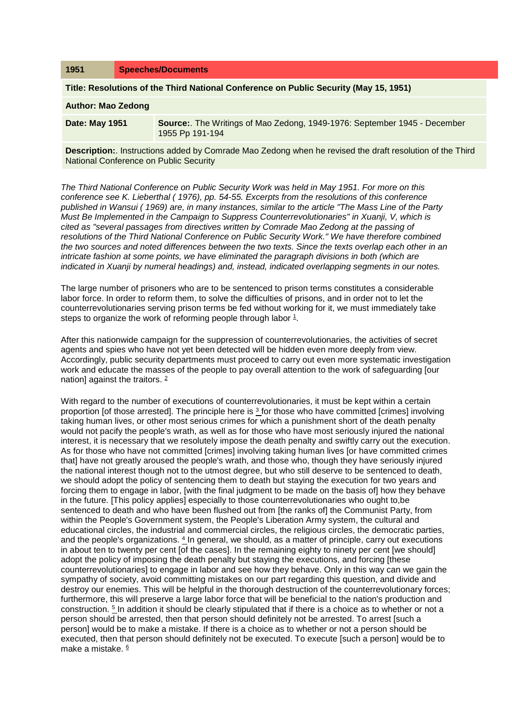| 1951                                                                                                                                                             | <b>Speeches/Documents</b>                                                                    |  |
|------------------------------------------------------------------------------------------------------------------------------------------------------------------|----------------------------------------------------------------------------------------------|--|
| Title: Resolutions of the Third National Conference on Public Security (May 15, 1951)                                                                            |                                                                                              |  |
| <b>Author: Mao Zedong</b>                                                                                                                                        |                                                                                              |  |
| Date: May 1951                                                                                                                                                   | Source:. The Writings of Mao Zedong, 1949-1976: September 1945 - December<br>1955 Pp 191-194 |  |
| <b>Description:.</b> Instructions added by Comrade Mao Zedong when he revised the draft resolution of the Third<br><b>National Conference on Public Security</b> |                                                                                              |  |

*The Third National Conference on Public Security Work was held in May 1951. For more on this conference see K. Lieberthal ( 1976), pp. 54-55. Excerpts from the resolutions of this conference published in Wansui ( 1969) are, in many instances, similar to the article "The Mass Line of the Party Must Be Implemented in the Campaign to Suppress Counterrevolutionaries" in Xuanji, V, which is cited as "several passages from directives written by Comrade Mao Zedong at the passing of resolutions of the Third National Conference on Public Security Work." We have therefore combined the two sources and noted differences between the two texts. Since the texts overlap each other in an intricate fashion at some points, we have eliminated the paragraph divisions in both (which are indicated in Xuanji by numeral headings) and, instead, indicated overlapping segments in our notes.* 

The large number of prisoners who are to be sentenced to prison terms constitutes a considerable labor force. In order to reform them, to solve the difficulties of prisons, and in order not to let the counterrevolutionaries serving prison terms be fed without working for it, we must immediately take steps to organize the work of reforming people through labor [1.](http://www.questia.com/PM.qst?a=o&d=99262066)

After this nationwide campaign for the suppression of counterrevolutionaries, the activities of secret agents and spies who have not yet been detected will be hidden even more deeply from view. Accordingly, public security departments must proceed to carry out even more systematic investigation work and educate the masses of the people to pay overall attention to the work of safeguarding [our nation] against the traitors. [2](http://www.questia.com/PM.qst?a=o&d=99262067)

With regard to the number of executions of counterrevolutionaries, it must be kept within a certain proportion [of those arrested]. The principle here is  $3$  for those who have committed [crimes] involving taking human lives, or other most serious crimes for which a punishment short of the death penalty would not pacify the people's wrath, as well as for those who have most seriously injured the national interest, it is necessary that we resolutely impose the death penalty and swiftly carry out the execution. As for those who have not committed [crimes] involving taking human lives [or have committed crimes that] have not greatly aroused the people's wrath, and those who, though they have seriously injured the national interest though not to the utmost degree, but who still deserve to be sentenced to death, we should adopt the policy of sentencing them to death but staying the execution for two years and forcing them to engage in labor. [with the final judgment to be made on the basis of] how they behave in the future. [This policy applies] especially to those counterrevolutionaries who ought to,be sentenced to death and who have been flushed out from [the ranks of] the Communist Party, from within the People's Government system, the People's Liberation Army system, the cultural and educational circles, the industrial and commercial circles, the religious circles, the democratic parties, and the people's organizations. [4](http://www.questia.com/PM.qst?a=o&d=99262067) In general, we should, as a matter of principle, carry out executions in about ten to twenty per cent [of the cases]. In the remaining eighty to ninety per cent [we should] adopt the policy of imposing the death penalty but staying the executions, and forcing [these counterrevolutionaries] to engage in labor and see how they behave. Only in this way can we gain the sympathy of society, avoid committing mistakes on our part regarding this question, and divide and destroy our enemies. This will be helpful in the thorough destruction of the counterrevolutionary forces; furthermore, this will preserve a large labor force that will be beneficial to the nation's production and construction. [5](http://www.questia.com/PM.qst?a=o&d=99262067) In addition it should be clearly stipulated that if there is a choice as to whether or not a person should be arrested, then that person should definitely not be arrested. To arrest [such a person] would be to make a mistake. If there is a choice as to whether or not a person should be executed, then that person should definitely not be executed. To execute [such a person] would be to make a mistake. [6](http://www.questia.com/PM.qst?a=o&d=99262156)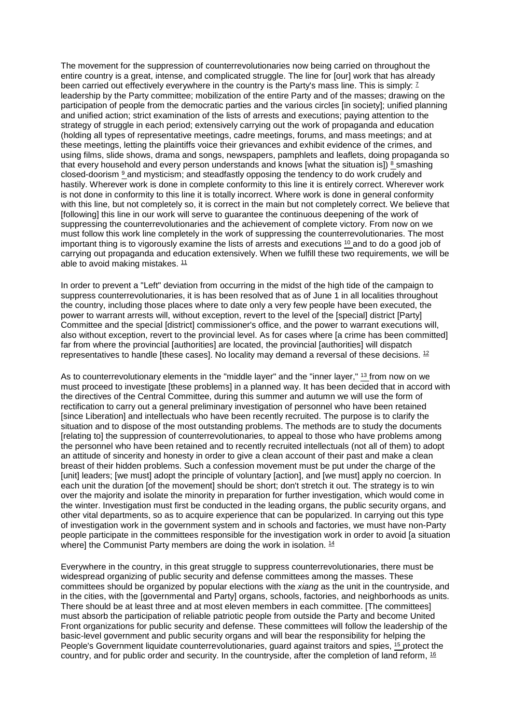The movement for the suppression of counterrevolutionaries now being carried on throughout the entire country is a great, intense, and complicated struggle. The line for [our] work that has already been carried out effectively everywhere in the country is the Party's mass line. This is simply: <sup>7</sup> leadership by the Party committee; mobilization of the entire Party and of the masses; drawing on the participation of people from the democratic parties and the various circles [in society]; unified planning and unified action; strict examination of the lists of arrests and executions; paying attention to the strategy of struggle in each period; extensively carrying out the work of propaganda and education (holding all types of representative meetings, cadre meetings, forums, and mass meetings; and at these meetings, letting the plaintiffs voice their grievances and exhibit evidence of the crimes, and using films, slide shows, drama and songs, newspapers, pamphlets and leaflets, doing propaganda so that every household and every person understands and knows [what the situation is])  $\frac{8}{3}$  smashing closed-doorism [9](http://www.questia.com/PM.qst?a=o&d=99262163) and mysticism; and steadfastly opposing the tendency to do work crudely and hastily. Wherever work is done in complete conformity to this line it is entirely correct. Wherever work is not done in conformity to this line it is totally incorrect. Where work is done in general conformity with this line, but not completely so, it is correct in the main but not completely correct. We believe that [following] this line in our work will serve to guarantee the continuous deepening of the work of suppressing the counterrevolutionaries and the achievement of complete victory. From now on we must follow this work line completely in the work of suppressing the counterrevolutionaries. The most important thing is to vigorously examine the lists of arrests and executions [10](http://www.questia.com/PM.qst?a=o&d=99262163) and to do a good job of carrying out propaganda and education extensively. When we fulfill these two requirements, we will be able to avoid making mistakes.  $11$ 

In order to prevent a "Left" deviation from occurring in the midst of the high tide of the campaign to suppress counterrevolutionaries, it is has been resolved that as of June 1 in all localities throughout the country, including those places where to date only a very few people have been executed, the power to warrant arrests will, without exception, revert to the level of the [special] district [Party] Committee and the special [district] commissioner's office, and the power to warrant executions will, also without exception, revert to the provincial level. As for cases where [a crime has been committed] far from where the provincial [authorities] are located, the provincial [authorities] will dispatch representatives to handle [these cases]. No locality may demand a reversal of these decisions,  $^{12}$ 

As to counterrevolutionary elements in the "middle layer" and the "inner layer," [13](http://www.questia.com/PM.qst?a=o&d=99262234) from now on we must proceed to investigate [these problems] in a planned way. It has been decided that in accord with the directives of the Central Committee, during this summer and autumn we will use the form of rectification to carry out a general preliminary investigation of personnel who have been retained [since Liberation] and intellectuals who have been recently recruited. The purpose is to clarify the situation and to dispose of the most outstanding problems. The methods are to study the documents [relating to] the suppression of counterrevolutionaries, to appeal to those who have problems among the personnel who have been retained and to recently recruited intellectuals (not all of them) to adopt an attitude of sincerity and honesty in order to give a clean account of their past and make a clean breast of their hidden problems. Such a confession movement must be put under the charge of the [unit] leaders; [we must] adopt the principle of voluntary [action], and [we must] apply no coercion. In each unit the duration [of the movement] should be short; don't stretch it out. The strategy is to win over the majority and isolate the minority in preparation for further investigation, which would come in the winter. Investigation must first be conducted in the leading organs, the public security organs, and other vital departments, so as to acquire experience that can be popularized. In carrying out this type of investigation work in the government system and in schools and factories, we must have non-Party people participate in the committees responsible for the investigation work in order to avoid [a situation where] the Communist Party members are doing the work in isolation. <sup>14</sup>

Everywhere in the country, in this great struggle to suppress counterrevolutionaries, there must be widespread organizing of public security and defense committees among the masses. These committees should be organized by popular elections with the *xiang* as the unit in the countryside, and in the cities, with the [governmental and Party] organs, schools, factories, and neighborhoods as units. There should be at least three and at most eleven members in each committee. [The committees] must absorb the participation of reliable patriotic people from outside the Party and become United Front organizations for public security and defense. These committees will follow the leadership of the basic-level government and public security organs and will bear the responsibility for helping the People's Government liquidate counterrevolutionaries, guard against traitors and spies, <sup>15</sup> protect the country, and for public order and security. In the countryside, after the completion of land reform, [16](http://www.questia.com/PM.qst?a=o&d=99262255)